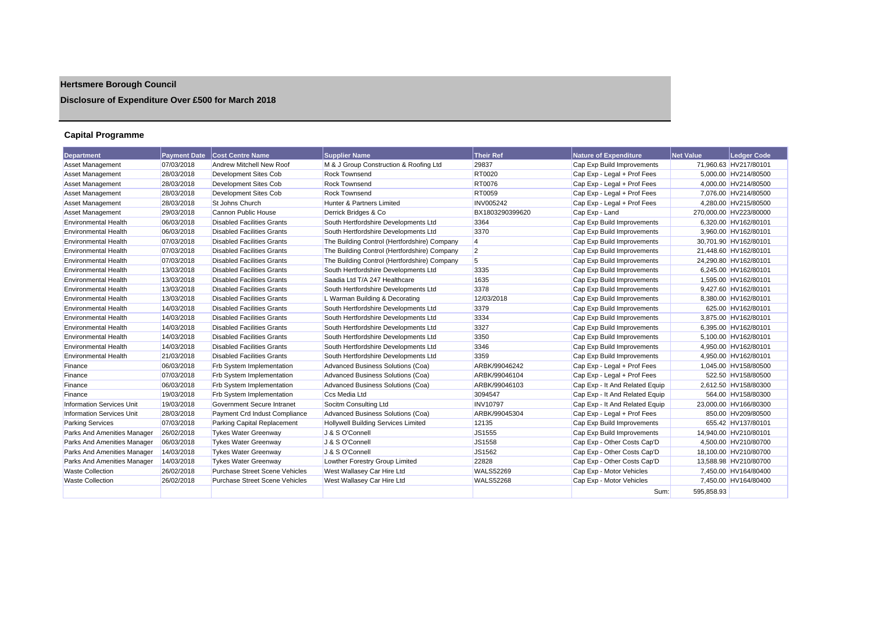# **Hertsmere Borough Council**

## **Disclosure of Expenditure Over £500 for March 2018**

## **Capital Programme**

| <b>Department</b>                |            | Payment Date Cost Centre Name         | <b>Supplier Name</b>                         | <b>Their Ref</b> | <b>Nature of Expenditure</b>   | <b>Net Value</b> | <b>Ledger Code</b>     |
|----------------------------------|------------|---------------------------------------|----------------------------------------------|------------------|--------------------------------|------------------|------------------------|
| <b>Asset Management</b>          | 07/03/2018 | Andrew Mitchell New Roof              | M & J Group Construction & Roofing Ltd       | 29837            | Cap Exp Build Improvements     |                  | 71.960.63 HV217/80101  |
| <b>Asset Management</b>          | 28/03/2018 | Development Sites Cob                 | <b>Rock Townsend</b>                         | <b>RT0020</b>    | Cap Exp - Legal + Prof Fees    |                  | 5,000.00 HV214/80500   |
| <b>Asset Management</b>          | 28/03/2018 | Development Sites Cob                 | <b>Rock Townsend</b>                         | <b>RT0076</b>    | Cap Exp - Legal + Prof Fees    |                  | 4.000.00 HV214/80500   |
| Asset Management                 | 28/03/2018 | Development Sites Cob                 | <b>Rock Townsend</b>                         | <b>RT0059</b>    | Cap Exp - Legal + Prof Fees    |                  | 7.076.00 HV214/80500   |
| Asset Management                 | 28/03/2018 | St Johns Church                       | Hunter & Partners Limited                    | <b>INV005242</b> | Cap Exp - Legal + Prof Fees    |                  | 4.280.00 HV215/80500   |
| <b>Asset Management</b>          | 29/03/2018 | Cannon Public House                   | Derrick Bridges & Co                         | BX1803290399620  | Cap Exp - Land                 |                  | 270,000.00 HV223/80000 |
| <b>Environmental Health</b>      | 06/03/2018 | <b>Disabled Facilities Grants</b>     | South Hertfordshire Developments Ltd         | 3364             | Cap Exp Build Improvements     |                  | 6,320.00 HV162/80101   |
| <b>Environmental Health</b>      | 06/03/2018 | <b>Disabled Facilities Grants</b>     | South Hertfordshire Developments Ltd         | 3370             | Cap Exp Build Improvements     |                  | 3,960.00 HV162/80101   |
| <b>Environmental Health</b>      | 07/03/2018 | <b>Disabled Facilities Grants</b>     | The Building Control (Hertfordshire) Company | $\overline{4}$   | Cap Exp Build Improvements     |                  | 30,701.90 HV162/80101  |
| <b>Environmental Health</b>      | 07/03/2018 | <b>Disabled Facilities Grants</b>     | The Building Control (Hertfordshire) Company | $\overline{2}$   | Cap Exp Build Improvements     |                  | 21,448.60 HV162/80101  |
| <b>Environmental Health</b>      | 07/03/2018 | <b>Disabled Facilities Grants</b>     | The Building Control (Hertfordshire) Company | 5                | Cap Exp Build Improvements     |                  | 24,290.80 HV162/80101  |
| <b>Environmental Health</b>      | 13/03/2018 | <b>Disabled Facilities Grants</b>     | South Hertfordshire Developments Ltd         | 3335             | Cap Exp Build Improvements     |                  | 6.245.00 HV162/80101   |
| <b>Environmental Health</b>      | 13/03/2018 | <b>Disabled Facilities Grants</b>     | Saadia Ltd T/A 247 Healthcare                | 1635             | Cap Exp Build Improvements     |                  | 1,595.00 HV162/80101   |
| <b>Environmental Health</b>      | 13/03/2018 | <b>Disabled Facilities Grants</b>     | South Hertfordshire Developments Ltd         | 3378             | Cap Exp Build Improvements     |                  | 9,427.60 HV162/80101   |
| <b>Environmental Health</b>      | 13/03/2018 | <b>Disabled Facilities Grants</b>     | L Warman Building & Decorating               | 12/03/2018       | Cap Exp Build Improvements     |                  | 8,380.00 HV162/80101   |
| <b>Environmental Health</b>      | 14/03/2018 | <b>Disabled Facilities Grants</b>     | South Hertfordshire Developments Ltd         | 3379             | Cap Exp Build Improvements     |                  | 625.00 HV162/80101     |
| <b>Environmental Health</b>      | 14/03/2018 | <b>Disabled Facilities Grants</b>     | South Hertfordshire Developments Ltd         | 3334             | Cap Exp Build Improvements     |                  | 3.875.00 HV162/80101   |
| <b>Environmental Health</b>      | 14/03/2018 | Disabled Facilities Grants            | South Hertfordshire Developments Ltd         | 3327             | Cap Exp Build Improvements     |                  | 6.395.00 HV162/80101   |
| <b>Environmental Health</b>      | 14/03/2018 | <b>Disabled Facilities Grants</b>     | South Hertfordshire Developments Ltd         | 3350             | Cap Exp Build Improvements     |                  | 5,100.00 HV162/80101   |
| <b>Environmental Health</b>      | 14/03/2018 | <b>Disabled Facilities Grants</b>     | South Hertfordshire Developments Ltd         | 3346             | Cap Exp Build Improvements     |                  | 4.950.00 HV162/80101   |
| <b>Environmental Health</b>      | 21/03/2018 | Disabled Facilities Grants            | South Hertfordshire Developments Ltd         | 3359             | Cap Exp Build Improvements     |                  | 4.950.00 HV162/80101   |
| Finance                          | 06/03/2018 | <b>Frb System Implementation</b>      | Advanced Business Solutions (Coa)            | ARBK/99046242    | Cap Exp - Legal + Prof Fees    |                  | 1,045.00 HV158/80500   |
| Finance                          | 07/03/2018 | <b>Frb System Implementation</b>      | Advanced Business Solutions (Coa)            | ARBK/99046104    | Cap Exp - Legal + Prof Fees    |                  | 522.50 HV158/80500     |
| Finance                          | 06/03/2018 | Frb System Implementation             | Advanced Business Solutions (Coa)            | ARBK/99046103    | Cap Exp - It And Related Equip |                  | 2,612.50 HV158/80300   |
| Finance                          | 19/03/2018 | <b>Frb System Implementation</b>      | Ccs Media Ltd                                | 3094547          | Cap Exp - It And Related Equip |                  | 564.00 HV158/80300     |
| <b>Information Services Unit</b> | 19/03/2018 | Government Secure Intranet            | Socitm Consulting Ltd                        | <b>INV10797</b>  | Cap Exp - It And Related Equip |                  | 23,000.00 HV166/80300  |
| <b>Information Services Unit</b> | 28/03/2018 | Payment Crd Indust Compliance         | Advanced Business Solutions (Coa)            | ARBK/99045304    | Cap Exp - Legal + Prof Fees    |                  | 850.00 HV209/80500     |
| <b>Parking Services</b>          | 07/03/2018 | Parking Capital Replacement           | <b>Hollywell Building Services Limited</b>   | 12135            | Cap Exp Build Improvements     |                  | 655.42 HV137/80101     |
| Parks And Amenities Manager      | 26/02/2018 | <b>Tykes Water Greenway</b>           | J & S O'Connell                              | JS1555           | Cap Exp Build Improvements     |                  | 14,940.00 HV210/80101  |
| Parks And Amenities Manager      | 06/03/2018 | <b>Tykes Water Greenway</b>           | J & S O'Connell                              | JS1558           | Cap Exp - Other Costs Cap'D    |                  | 4,500.00 HV210/80700   |
| Parks And Amenities Manager      | 14/03/2018 | <b>Tykes Water Greenway</b>           | J & S O'Connell                              | JS1562           | Cap Exp - Other Costs Cap'D    |                  | 18,100.00 HV210/80700  |
| Parks And Amenities Manager      | 14/03/2018 | <b>Tykes Water Greenway</b>           | Lowther Forestry Group Limited               | 22828            | Cap Exp - Other Costs Cap'D    |                  | 13.588.98 HV210/80700  |
| <b>Waste Collection</b>          | 26/02/2018 | Purchase Street Scene Vehicles        | West Wallasey Car Hire Ltd                   | <b>WALS52269</b> | Cap Exp - Motor Vehicles       |                  | 7.450.00 HV164/80400   |
| <b>Waste Collection</b>          | 26/02/2018 | <b>Purchase Street Scene Vehicles</b> | West Wallasey Car Hire Ltd                   | <b>WALS52268</b> | Cap Exp - Motor Vehicles       |                  | 7.450.00 HV164/80400   |
|                                  |            |                                       |                                              |                  | Sum:                           | 595,858.93       |                        |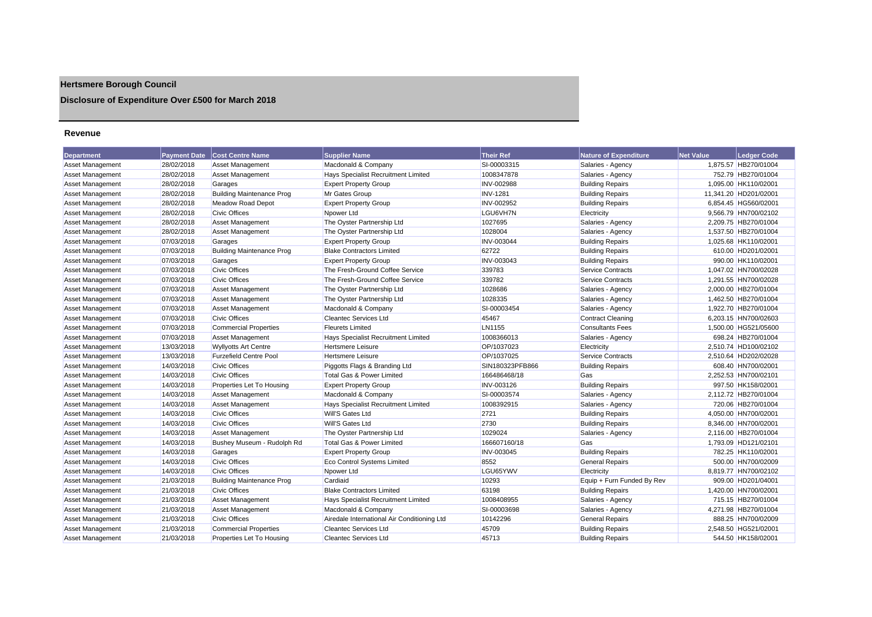## **Hertsmere Borough Council**

## **Disclosure of Expenditure Over £500 for March 2018**

#### **Revenue**

| <b>Department</b>       | <b>Payment Date</b> | <b>Cost Centre Name</b>          | <b>Supplier Name</b>                        | <b>Their Ref</b>  | <b>Nature of Expenditure</b> | <b>Net Value</b> | <b>Ledger Code</b>    |
|-------------------------|---------------------|----------------------------------|---------------------------------------------|-------------------|------------------------------|------------------|-----------------------|
| Asset Management        | 28/02/2018          | <b>Asset Management</b>          | Macdonald & Company                         | SI-00003315       | Salaries - Agency            |                  | 1,875.57 HB270/01004  |
| <b>Asset Management</b> | 28/02/2018          | Asset Management                 | <b>Hays Specialist Recruitment Limited</b>  | 1008347878        | Salaries - Agency            |                  | 752.79 HB270/01004    |
| Asset Management        | 28/02/2018          | Garages                          | <b>Expert Property Group</b>                | INV-002988        | <b>Building Repairs</b>      |                  | 1,095.00 HK110/02001  |
| Asset Management        | 28/02/2018          | <b>Building Maintenance Prog</b> | Mr Gates Group                              | <b>INV-1281</b>   | <b>Building Repairs</b>      |                  | 11,341.20 HD201/02001 |
| <b>Asset Management</b> | 28/02/2018          | <b>Meadow Road Depot</b>         | <b>Expert Property Group</b>                | INV-002952        | <b>Building Repairs</b>      |                  | 6.854.45 HG560/02001  |
| <b>Asset Management</b> | 28/02/2018          | <b>Civic Offices</b>             | Npower Ltd                                  | LGU6VH7N          | Electricity                  |                  | 9,566.79 HN700/02102  |
| <b>Asset Management</b> | 28/02/2018          | <b>Asset Management</b>          | The Oyster Partnership Ltd                  | 1027695           | Salaries - Agency            |                  | 2,209.75 HB270/01004  |
| Asset Management        | 28/02/2018          | <b>Asset Management</b>          | The Oyster Partnership Ltd                  | 1028004           | Salaries - Agency            |                  | 1,537.50 HB270/01004  |
| <b>Asset Management</b> | 07/03/2018          | Garages                          | <b>Expert Property Group</b>                | <b>INV-003044</b> | <b>Building Repairs</b>      |                  | 1,025.68 HK110/02001  |
| <b>Asset Management</b> | 07/03/2018          | <b>Building Maintenance Prog</b> | <b>Blake Contractors Limited</b>            | 62722             | <b>Building Repairs</b>      |                  | 610.00 HD201/02001    |
| <b>Asset Management</b> | 07/03/2018          | Garages                          | <b>Expert Property Group</b>                | INV-003043        | <b>Building Repairs</b>      |                  | 990.00 HK110/02001    |
| <b>Asset Management</b> | 07/03/2018          | <b>Civic Offices</b>             | The Fresh-Ground Coffee Service             | 339783            | <b>Service Contracts</b>     |                  | 1.047.02 HN700/02028  |
| <b>Asset Management</b> | 07/03/2018          | <b>Civic Offices</b>             | The Fresh-Ground Coffee Service             | 339782            | <b>Service Contracts</b>     |                  | 1,291.55 HN700/02028  |
| Asset Management        | 07/03/2018          | <b>Asset Management</b>          | The Oyster Partnership Ltd                  | 1028686           | Salaries - Agency            |                  | 2,000.00 HB270/01004  |
| <b>Asset Management</b> | 07/03/2018          | Asset Management                 | The Oyster Partnership Ltd                  | 1028335           | Salaries - Agency            |                  | 1,462.50 HB270/01004  |
| <b>Asset Management</b> | 07/03/2018          | <b>Asset Management</b>          | Macdonald & Company                         | SI-00003454       | Salaries - Agency            |                  | 1.922.70 HB270/01004  |
| <b>Asset Management</b> | 07/03/2018          | <b>Civic Offices</b>             | <b>Cleantec Services Ltd</b>                | 45467             | <b>Contract Cleaning</b>     |                  | 6,203.15 HN700/02603  |
| Asset Management        | 07/03/2018          | <b>Commercial Properties</b>     | <b>Fleurets Limited</b>                     | LN1155            | <b>Consultants Fees</b>      |                  | 1,500.00 HG521/05600  |
| <b>Asset Management</b> | 07/03/2018          | <b>Asset Management</b>          | Hays Specialist Recruitment Limited         | 1008366013        | Salaries - Agency            |                  | 698.24 HB270/01004    |
| <b>Asset Management</b> | 13/03/2018          | <b>Wyllyotts Art Centre</b>      | <b>Hertsmere Leisure</b>                    | OP/1037023        | Electricity                  |                  | 2,510.74 HD100/02102  |
| <b>Asset Management</b> | 13/03/2018          | <b>Furzefield Centre Pool</b>    | <b>Hertsmere Leisure</b>                    | OP/1037025        | <b>Service Contracts</b>     |                  | 2,510.64 HD202/02028  |
| Asset Management        | 14/03/2018          | <b>Civic Offices</b>             | Piggotts Flags & Branding Ltd               | SIN180323PFB866   | <b>Building Repairs</b>      |                  | 608.40 HN700/02001    |
| <b>Asset Management</b> | 14/03/2018          | <b>Civic Offices</b>             | Total Gas & Power Limited                   | 166486468/18      | Gas                          |                  | 2,252.53 HN700/02101  |
| Asset Management        | 14/03/2018          | Properties Let To Housing        | <b>Expert Property Group</b>                | INV-003126        | <b>Building Repairs</b>      |                  | 997.50 HK158/02001    |
| <b>Asset Management</b> | 14/03/2018          | <b>Asset Management</b>          | Macdonald & Company                         | SI-00003574       | Salaries - Agency            |                  | 2.112.72 HB270/01004  |
| <b>Asset Management</b> | 14/03/2018          | Asset Management                 | <b>Hays Specialist Recruitment Limited</b>  | 1008392915        | Salaries - Agency            |                  | 720.06 HB270/01004    |
| <b>Asset Management</b> | 14/03/2018          | <b>Civic Offices</b>             | <b>Will'S Gates Ltd</b>                     | 2721              | <b>Building Repairs</b>      |                  | 4,050.00 HN700/02001  |
| <b>Asset Management</b> | 14/03/2018          | <b>Civic Offices</b>             | <b>Will'S Gates Ltd</b>                     | 2730              | <b>Building Repairs</b>      |                  | 8,346.00 HN700/02001  |
| <b>Asset Management</b> | 14/03/2018          | <b>Asset Management</b>          | The Oyster Partnership Ltd                  | 1029024           | Salaries - Agency            |                  | 2.116.00 HB270/01004  |
| <b>Asset Management</b> | 14/03/2018          | Bushey Museum - Rudolph Rd       | Total Gas & Power Limited                   | 166607160/18      | Gas                          |                  | 1.793.09 HD121/02101  |
| <b>Asset Management</b> | 14/03/2018          | Garages                          | <b>Expert Property Group</b>                | INV-003045        | <b>Building Repairs</b>      |                  | 782.25 HK110/02001    |
| Asset Management        | 14/03/2018          | <b>Civic Offices</b>             | <b>Eco Control Systems Limited</b>          | 8552              | <b>General Repairs</b>       |                  | 500.00 HN700/02009    |
| <b>Asset Management</b> | 14/03/2018          | <b>Civic Offices</b>             | Npower Ltd                                  | LGU65YWV          | Electricity                  |                  | 8.819.77 HN700/02102  |
| Asset Management        | 21/03/2018          | <b>Building Maintenance Prog</b> | Cardiaid                                    | 10293             | Equip + Furn Funded By Rev   |                  | 909.00 HD201/04001    |
| Asset Management        | 21/03/2018          | <b>Civic Offices</b>             | <b>Blake Contractors Limited</b>            | 63198             | <b>Building Repairs</b>      |                  | 1,420.00 HN700/02001  |
| <b>Asset Management</b> | 21/03/2018          | Asset Management                 | <b>Hays Specialist Recruitment Limited</b>  | 1008408955        | Salaries - Agency            |                  | 715.15 HB270/01004    |
| <b>Asset Management</b> | 21/03/2018          | <b>Asset Management</b>          | Macdonald & Company                         | SI-00003698       | Salaries - Agency            |                  | 4,271.98 HB270/01004  |
| <b>Asset Management</b> | 21/03/2018          | <b>Civic Offices</b>             | Airedale International Air Conditioning Ltd | 10142296          | <b>General Repairs</b>       |                  | 888.25 HN700/02009    |
| Asset Management        | 21/03/2018          | <b>Commercial Properties</b>     | <b>Cleantec Services Ltd</b>                | 45709             | <b>Building Repairs</b>      |                  | 2.548.50 HG521/02001  |
| Asset Management        | 21/03/2018          | Properties Let To Housing        | <b>Cleantec Services Ltd</b>                | 45713             | <b>Building Repairs</b>      |                  | 544.50 HK158/02001    |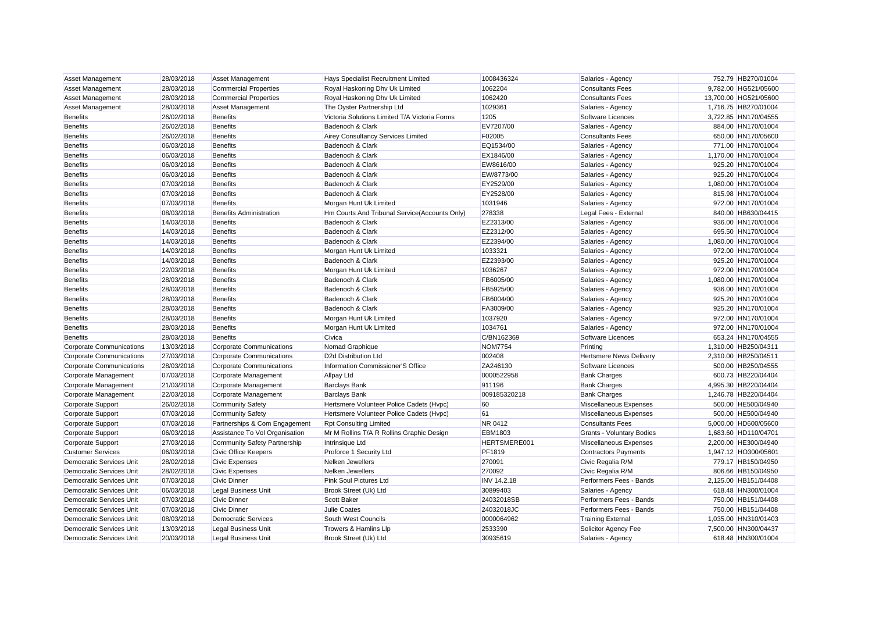| <b>Asset Management</b>         | 28/03/2018 | <b>Asset Management</b>             | Hays Specialist Recruitment Limited           | 1008436324         | Salaries - Agency                | 752.79 HB270/01004    |
|---------------------------------|------------|-------------------------------------|-----------------------------------------------|--------------------|----------------------------------|-----------------------|
| <b>Asset Management</b>         | 28/03/2018 | <b>Commercial Properties</b>        | Royal Haskoning Dhv Uk Limited                | 1062204            | <b>Consultants Fees</b>          | 9,782.00 HG521/05600  |
| Asset Management                | 28/03/2018 | <b>Commercial Properties</b>        | Royal Haskoning Dhv Uk Limited                | 1062420            | <b>Consultants Fees</b>          | 13,700.00 HG521/05600 |
| <b>Asset Management</b>         | 28/03/2018 | <b>Asset Management</b>             | The Oyster Partnership Ltd                    | 1029361            | Salaries - Agency                | 1,716.75 HB270/01004  |
| <b>Benefits</b>                 | 26/02/2018 | <b>Benefits</b>                     | Victoria Solutions Limited T/A Victoria Forms | 1205               | Software Licences                | 3,722.85 HN170/04555  |
| <b>Benefits</b>                 | 26/02/2018 | <b>Benefits</b>                     | Badenoch & Clark                              | EV7207/00          | Salaries - Agency                | 884.00 HN170/01004    |
| <b>Benefits</b>                 | 26/02/2018 | <b>Benefits</b>                     | Airey Consultancy Services Limited            | F02005             | <b>Consultants Fees</b>          | 650.00 HN170/05600    |
| <b>Benefits</b>                 | 06/03/2018 | <b>Benefits</b>                     | Badenoch & Clark                              | EQ1534/00          | Salaries - Agency                | 771.00 HN170/01004    |
| <b>Benefits</b>                 | 06/03/2018 | <b>Benefits</b>                     | Badenoch & Clark                              | EX1846/00          | Salaries - Agency                | 1,170.00 HN170/01004  |
| <b>Benefits</b>                 | 06/03/2018 | <b>Benefits</b>                     | Badenoch & Clark                              | EW8616/00          | Salaries - Agency                | 925.20 HN170/01004    |
| <b>Benefits</b>                 | 06/03/2018 | <b>Benefits</b>                     | Badenoch & Clark                              | EW/8773/00         | Salaries - Agency                | 925.20 HN170/01004    |
| <b>Benefits</b>                 | 07/03/2018 | <b>Benefits</b>                     | Badenoch & Clark                              | EY2529/00          | Salaries - Agency                | 1,080.00 HN170/01004  |
| <b>Benefits</b>                 | 07/03/2018 | <b>Benefits</b>                     | Badenoch & Clark                              | EY2528/00          | Salaries - Agency                | 815.98 HN170/01004    |
| <b>Benefits</b>                 | 07/03/2018 | <b>Benefits</b>                     | Morgan Hunt Uk Limited                        | 1031946            | Salaries - Agency                | 972.00 HN170/01004    |
| <b>Benefits</b>                 | 08/03/2018 | <b>Benefits Administration</b>      | Hm Courts And Tribunal Service(Accounts Only) | 278338             | Legal Fees - External            | 840.00 HB630/04415    |
| <b>Benefits</b>                 | 14/03/2018 | <b>Benefits</b>                     | Badenoch & Clark                              | EZ2313/00          | Salaries - Agency                | 936.00 HN170/01004    |
| <b>Benefits</b>                 | 14/03/2018 | <b>Benefits</b>                     | Badenoch & Clark                              | EZ2312/00          | Salaries - Agency                | 695.50 HN170/01004    |
| <b>Benefits</b>                 | 14/03/2018 | <b>Benefits</b>                     | Badenoch & Clark                              | EZ2394/00          | Salaries - Agency                | 1,080.00 HN170/01004  |
| <b>Benefits</b>                 | 14/03/2018 | <b>Benefits</b>                     | Morgan Hunt Uk Limited                        | 1033321            | Salaries - Agency                | 972.00 HN170/01004    |
| <b>Benefits</b>                 | 14/03/2018 | <b>Benefits</b>                     | Badenoch & Clark                              | EZ2393/00          | Salaries - Agency                | 925.20 HN170/01004    |
| Benefits                        | 22/03/2018 | <b>Benefits</b>                     | Morgan Hunt Uk Limited                        | 1036267            | Salaries - Agency                | 972.00 HN170/01004    |
| <b>Benefits</b>                 | 28/03/2018 | <b>Benefits</b>                     | Badenoch & Clark                              | FB6005/00          | Salaries - Agency                | 1,080.00 HN170/01004  |
| <b>Benefits</b>                 | 28/03/2018 | <b>Benefits</b>                     | Badenoch & Clark                              | FB5925/00          | Salaries - Agency                | 936.00 HN170/01004    |
| <b>Benefits</b>                 | 28/03/2018 | <b>Benefits</b>                     | Badenoch & Clark                              | FB6004/00          | Salaries - Agency                | 925.20 HN170/01004    |
| <b>Benefits</b>                 | 28/03/2018 | <b>Benefits</b>                     | Badenoch & Clark                              | FA3009/00          | Salaries - Agency                | 925.20 HN170/01004    |
| <b>Benefits</b>                 | 28/03/2018 | <b>Benefits</b>                     | Morgan Hunt Uk Limited                        | 1037920            | Salaries - Agency                | 972.00 HN170/01004    |
| <b>Benefits</b>                 | 28/03/2018 | <b>Benefits</b>                     | Morgan Hunt Uk Limited                        | 1034761            | Salaries - Agency                | 972.00 HN170/01004    |
| <b>Benefits</b>                 | 28/03/2018 | <b>Benefits</b>                     | Civica                                        | C/BN162369         | Software Licences                | 653.24 HN170/04555    |
| <b>Corporate Communications</b> | 13/03/2018 | <b>Corporate Communications</b>     | Nomad Graphique                               | <b>NOM7754</b>     | Printing                         | 1,310.00 HB250/04311  |
| <b>Corporate Communications</b> | 27/03/2018 | Corporate Communications            | D2d Distribution Ltd                          | 002408             | <b>Hertsmere News Delivery</b>   | 2,310.00 HB250/04511  |
| <b>Corporate Communications</b> | 28/03/2018 | <b>Corporate Communications</b>     | Information Commissioner'S Office             | ZA246130           | Software Licences                | 500.00 HB250/04555    |
| Corporate Management            | 07/03/2018 | Corporate Management                | <b>Allpay Ltd</b>                             | 0000522958         | <b>Bank Charges</b>              | 600.73 HB220/04404    |
| Corporate Management            | 21/03/2018 | Corporate Management                | <b>Barclays Bank</b>                          | 911196             | <b>Bank Charges</b>              | 4,995.30 HB220/04404  |
| Corporate Management            | 22/03/2018 | Corporate Management                | <b>Barclays Bank</b>                          | 009185320218       | <b>Bank Charges</b>              | 1,246.78 HB220/04404  |
| Corporate Support               | 26/02/2018 | <b>Community Safety</b>             | Hertsmere Volunteer Police Cadets (Hvpc)      | 60                 | Miscellaneous Expenses           | 500.00 HE500/04940    |
| Corporate Support               | 07/03/2018 | <b>Community Safety</b>             | Hertsmere Volunteer Police Cadets (Hvpc)      | 61                 | Miscellaneous Expenses           | 500.00 HE500/04940    |
| Corporate Support               | 07/03/2018 | Partnerships & Com Engagement       | <b>Rpt Consulting Limited</b>                 | NR 0412            | <b>Consultants Fees</b>          | 5,000.00 HD600/05600  |
| Corporate Support               | 06/03/2018 | Assistance To Vol Organisation      | Mr M Rollins T/A R Rollins Graphic Design     | <b>EBM1803</b>     | <b>Grants - Voluntary Bodies</b> | 1,683.60 HD110/04701  |
| Corporate Support               | 27/03/2018 | <b>Community Safety Partnership</b> | Intrinsique Ltd                               | HERTSMERE001       | Miscellaneous Expenses           | 2,200.00 HE300/04940  |
| <b>Customer Services</b>        | 06/03/2018 | Civic Office Keepers                | Proforce 1 Security Ltd                       | PF1819             | <b>Contractors Payments</b>      | 1,947.12 HO300/05601  |
| <b>Democratic Services Unit</b> | 28/02/2018 | <b>Civic Expenses</b>               | Nelken Jewellers                              | 270091             | Civic Regalia R/M                | 779.17 HB150/04950    |
| Democratic Services Unit        | 28/02/2018 | <b>Civic Expenses</b>               | Nelken Jewellers                              | 270092             | Civic Regalia R/M                | 806.66 HB150/04950    |
| <b>Democratic Services Unit</b> | 07/03/2018 | <b>Civic Dinner</b>                 | <b>Pink Soul Pictures Ltd</b>                 | <b>INV 14.2.18</b> | Performers Fees - Bands          | 2,125.00 HB151/04408  |
| <b>Democratic Services Unit</b> | 06/03/2018 | <b>Legal Business Unit</b>          | Brook Street (Uk) Ltd                         | 30899403           | Salaries - Agency                | 618.48 HN300/01004    |
| Democratic Services Unit        | 07/03/2018 | <b>Civic Dinner</b>                 | Scott Baker                                   | 24032018SB         | Performers Fees - Bands          | 750.00 HB151/04408    |
| Democratic Services Unit        | 07/03/2018 | <b>Civic Dinner</b>                 | <b>Julie Coates</b>                           | 24032018JC         | Performers Fees - Bands          | 750.00 HB151/04408    |
| Democratic Services Unit        | 08/03/2018 | <b>Democratic Services</b>          | South West Councils                           | 0000064962         | <b>Training External</b>         | 1,035.00 HN310/01403  |
| <b>Democratic Services Unit</b> | 13/03/2018 | <b>Legal Business Unit</b>          | Trowers & Hamlins Llp                         | 2533390            | Solicitor Agency Fee             | 7,500.00 HN300/04437  |
| <b>Democratic Services Unit</b> | 20/03/2018 | <b>Legal Business Unit</b>          | Brook Street (Uk) Ltd                         | 30935619           | Salaries - Agency                | 618.48 HN300/01004    |
|                                 |            |                                     |                                               |                    |                                  |                       |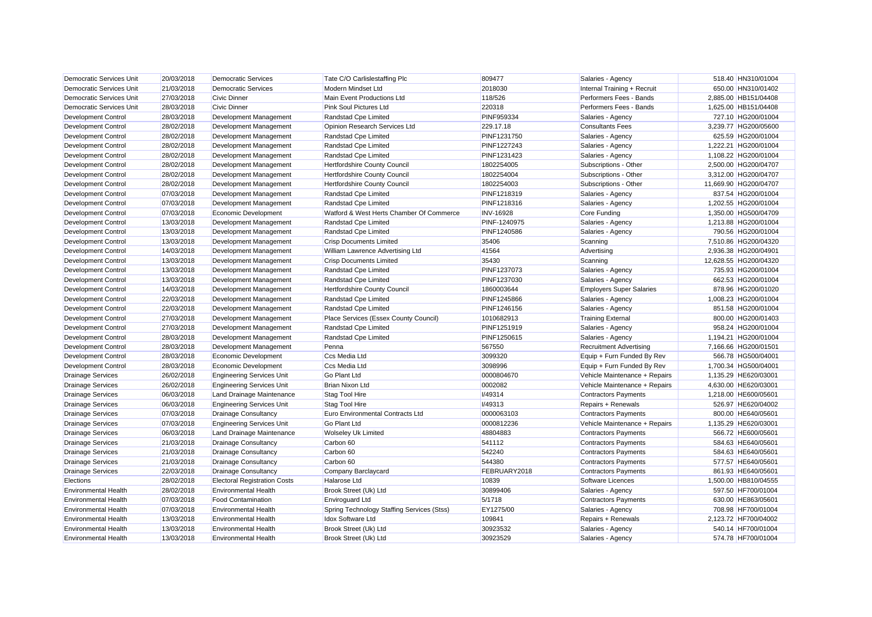| <b>Democratic Services Unit</b> | 20/03/2018 | <b>Democratic Services</b>          | Tate C/O Carlislestaffing Plc              | 809477            | Salaries - Agency               | 518.40 HN310/01004    |  |
|---------------------------------|------------|-------------------------------------|--------------------------------------------|-------------------|---------------------------------|-----------------------|--|
| Democratic Services Unit        | 21/03/2018 | <b>Democratic Services</b>          | Modern Mindset Ltd                         | 2018030           | Internal Training + Recruit     | 650.00 HN310/01402    |  |
| <b>Democratic Services Unit</b> | 27/03/2018 | <b>Civic Dinner</b>                 | Main Event Productions Ltd                 | 118/526           | Performers Fees - Bands         | 2,885.00 HB151/04408  |  |
| Democratic Services Unit        | 28/03/2018 | <b>Civic Dinner</b>                 | Pink Soul Pictures Ltd                     | 220318            | Performers Fees - Bands         | 1,625.00 HB151/04408  |  |
| <b>Development Control</b>      | 28/03/2018 | Development Management              | Randstad Cpe Limited                       | <b>PINF959334</b> | Salaries - Agency               | 727.10 HG200/01004    |  |
| <b>Development Control</b>      | 28/02/2018 | Development Management              | Opinion Research Services Ltd              | 229.17.18         | <b>Consultants Fees</b>         | 3,239.77 HG200/05600  |  |
| <b>Development Control</b>      | 28/02/2018 | Development Management              | Randstad Cpe Limited                       | PINF1231750       | Salaries - Agency               | 625.59 HG200/01004    |  |
| Development Control             | 28/02/2018 | Development Management              | Randstad Cpe Limited                       | PINF1227243       | Salaries - Agency               | 1,222.21 HG200/01004  |  |
| <b>Development Control</b>      | 28/02/2018 | Development Management              | Randstad Cpe Limited                       | PINF1231423       | Salaries - Agency               | 1,108.22 HG200/01004  |  |
| <b>Development Control</b>      | 28/02/2018 | Development Management              | Hertfordshire County Council               | 1802254005        | Subscriptions - Other           | 2,500.00 HG200/04707  |  |
| Development Control             | 28/02/2018 | Development Management              | <b>Hertfordshire County Council</b>        | 1802254004        | Subscriptions - Other           | 3,312.00 HG200/04707  |  |
| Development Control             | 28/02/2018 | Development Management              | Hertfordshire County Council               | 1802254003        | Subscriptions - Other           | 11,669.90 HG200/04707 |  |
| <b>Development Control</b>      | 07/03/2018 | Development Management              | Randstad Cpe Limited                       | PINF1218319       | Salaries - Agency               | 837.54 HG200/01004    |  |
| <b>Development Control</b>      | 07/03/2018 | Development Management              | Randstad Cpe Limited                       | PINF1218316       | Salaries - Agency               | 1,202.55 HG200/01004  |  |
| Development Control             | 07/03/2018 | Economic Development                | Watford & West Herts Chamber Of Commerce   | <b>INV-16928</b>  | Core Funding                    | 1.350.00 HG500/04709  |  |
| <b>Development Control</b>      | 13/03/2018 | Development Management              | Randstad Cpe Limited                       | PINF-1240975      | Salaries - Agency               | 1,213.88 HG200/01004  |  |
| Development Control             | 13/03/2018 | Development Management              | Randstad Cpe Limited                       | PINF1240586       | Salaries - Agency               | 790.56 HG200/01004    |  |
| Development Control             | 13/03/2018 | Development Management              | <b>Crisp Documents Limited</b>             | 35406             | Scanning                        | 7,510.86 HG200/04320  |  |
| Development Control             | 14/03/2018 | Development Management              | William Lawrence Advertising Ltd           | 41564             | Advertising                     | 2,936.38 HG200/04901  |  |
| Development Control             | 13/03/2018 | Development Management              | <b>Crisp Documents Limited</b>             | 35430             | Scanning                        | 12,628.55 HG200/04320 |  |
| <b>Development Control</b>      | 13/03/2018 | Development Management              | Randstad Cpe Limited                       | PINF1237073       | Salaries - Agency               | 735.93 HG200/01004    |  |
| <b>Development Control</b>      | 13/03/2018 | Development Management              | Randstad Cpe Limited                       | PINF1237030       | Salaries - Agency               | 662.53 HG200/01004    |  |
| <b>Development Control</b>      | 14/03/2018 | Development Management              | Hertfordshire County Council               | 1860003644        | <b>Employers Super Salaries</b> | 878.96 HG200/01020    |  |
| <b>Development Control</b>      | 22/03/2018 | Development Management              | Randstad Cpe Limited                       | PINF1245866       | Salaries - Agency               | 1,008.23 HG200/01004  |  |
| <b>Development Control</b>      | 22/03/2018 | Development Management              | Randstad Cpe Limited                       | PINF1246156       | Salaries - Agency               | 851.58 HG200/01004    |  |
| <b>Development Control</b>      | 27/03/2018 | Development Management              | Place Services (Essex County Council)      | 1010682913        | <b>Training External</b>        | 800.00 HG200/01403    |  |
| Development Control             | 27/03/2018 | Development Management              | Randstad Cpe Limited                       | PINF1251919       | Salaries - Agency               | 958.24 HG200/01004    |  |
| <b>Development Control</b>      | 28/03/2018 | Development Management              | Randstad Cpe Limited                       | PINF1250615       | Salaries - Agency               | 1,194.21 HG200/01004  |  |
| <b>Development Control</b>      | 28/03/2018 | Development Management              | Penna                                      | 567550            | <b>Recruitment Advertising</b>  | 7,166.66 HG200/01501  |  |
| <b>Development Control</b>      | 28/03/2018 | Economic Development                | Ccs Media Ltd                              | 3099320           | Equip + Furn Funded By Rev      | 566.78 HG500/04001    |  |
| <b>Development Control</b>      | 28/03/2018 | Economic Development                | Ccs Media Ltd                              | 3098996           | Equip + Furn Funded By Rev      | 1,700.34 HG500/04001  |  |
| <b>Drainage Services</b>        | 26/02/2018 | <b>Engineering Services Unit</b>    | <b>Go Plant Ltd</b>                        | 0000804670        | Vehicle Maintenance + Repairs   | 1,135.29 HE620/03001  |  |
| <b>Drainage Services</b>        | 26/02/2018 | <b>Engineering Services Unit</b>    | Brian Nixon Ltd                            | 0002082           | Vehicle Maintenance + Repairs   | 4,630.00 HE620/03001  |  |
| <b>Drainage Services</b>        | 06/03/2018 | Land Drainage Maintenance           | Stag Tool Hire                             | I/49314           | <b>Contractors Payments</b>     | 1.218.00 HE600/05601  |  |
| <b>Drainage Services</b>        | 06/03/2018 | <b>Engineering Services Unit</b>    | Stag Tool Hire                             | I/49313           | Repairs + Renewals              | 526.97 HE620/04002    |  |
| <b>Drainage Services</b>        | 07/03/2018 | <b>Drainage Consultancy</b>         | <b>Euro Environmental Contracts Ltd</b>    | 0000063103        | <b>Contractors Payments</b>     | 800.00 HE640/05601    |  |
| <b>Drainage Services</b>        | 07/03/2018 | <b>Engineering Services Unit</b>    | <b>Go Plant Ltd</b>                        | 0000812236        | Vehicle Maintenance + Repairs   | 1,135.29 HE620/03001  |  |
| <b>Drainage Services</b>        | 06/03/2018 | Land Drainage Maintenance           | Wolseley Uk Limited                        | 48804883          | <b>Contractors Payments</b>     | 566.72 HE600/05601    |  |
| <b>Drainage Services</b>        | 21/03/2018 | <b>Drainage Consultancy</b>         | Carbon 60                                  | 541112            | <b>Contractors Payments</b>     | 584.63 HE640/05601    |  |
| <b>Drainage Services</b>        | 21/03/2018 | <b>Drainage Consultancy</b>         | Carbon 60                                  | 542240            | <b>Contractors Payments</b>     | 584.63 HE640/05601    |  |
| <b>Drainage Services</b>        | 21/03/2018 | <b>Drainage Consultancy</b>         | Carbon 60                                  | 544380            | <b>Contractors Payments</b>     | 577.57 HE640/05601    |  |
| <b>Drainage Services</b>        | 22/03/2018 | <b>Drainage Consultancy</b>         | Company Barclaycard                        | FEBRUARY2018      | <b>Contractors Payments</b>     | 861.93 HE640/05601    |  |
| Elections                       | 28/02/2018 | <b>Electoral Registration Costs</b> | Halarose Ltd                               | 10839             | Software Licences               | 1,500.00 HB810/04555  |  |
| <b>Environmental Health</b>     | 28/02/2018 | <b>Environmental Health</b>         | Brook Street (Uk) Ltd                      | 30899406          | Salaries - Agency               | 597.50 HF700/01004    |  |
| <b>Environmental Health</b>     | 07/03/2018 | <b>Food Contamination</b>           | <b>Enviroquard Ltd</b>                     | 5/1718            | <b>Contractors Payments</b>     | 630.00 HE863/05601    |  |
| <b>Environmental Health</b>     | 07/03/2018 | <b>Environmental Health</b>         | Spring Technology Staffing Services (Stss) | EY1275/00         | Salaries - Agency               | 708.98 HF700/01004    |  |
| <b>Environmental Health</b>     | 13/03/2018 | <b>Environmental Health</b>         | Idox Software Ltd                          | 109841            | Repairs + Renewals              | 2,123.72 HF700/04002  |  |
| <b>Environmental Health</b>     | 13/03/2018 | <b>Environmental Health</b>         | Brook Street (Uk) Ltd                      | 30923532          | Salaries - Agency               | 540.14 HF700/01004    |  |
| <b>Environmental Health</b>     | 13/03/2018 | <b>Environmental Health</b>         | Brook Street (Uk) Ltd                      | 30923529          | Salaries - Agency               | 574.78 HF700/01004    |  |
|                                 |            |                                     |                                            |                   |                                 |                       |  |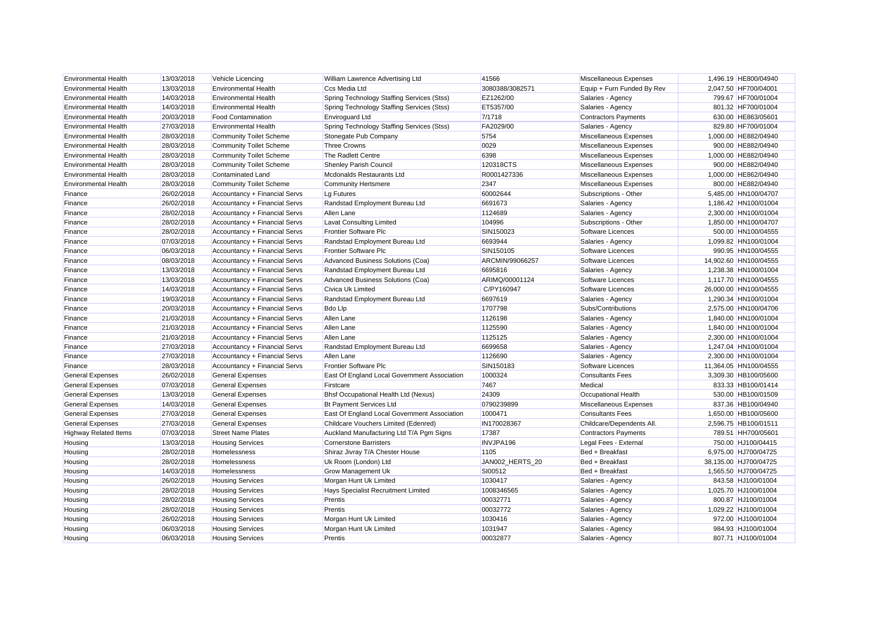| <b>Environmental Health</b>  | 13/03/2018 | Vehicle Licencing              | William Lawrence Advertising Ltd             | 41566           | Miscellaneous Expenses      | 1,496.19 HE800/04940  |
|------------------------------|------------|--------------------------------|----------------------------------------------|-----------------|-----------------------------|-----------------------|
| <b>Environmental Health</b>  | 13/03/2018 | <b>Environmental Health</b>    | Ccs Media Ltd                                | 3080388/3082571 | Equip + Furn Funded By Rev  | 2,047.50 HF700/04001  |
| <b>Environmental Health</b>  | 14/03/2018 | <b>Environmental Health</b>    | Spring Technology Staffing Services (Stss)   | EZ1262/00       | Salaries - Agency           | 799.67 HF700/01004    |
| <b>Environmental Health</b>  | 14/03/2018 | <b>Environmental Health</b>    | Spring Technology Staffing Services (Stss)   | ET5357/00       | Salaries - Agency           | 801.32 HF700/01004    |
| <b>Environmental Health</b>  | 20/03/2018 | <b>Food Contamination</b>      | <b>Enviroquard Ltd</b>                       | 7/1718          | <b>Contractors Payments</b> | 630.00 HE863/05601    |
| <b>Environmental Health</b>  | 27/03/2018 | <b>Environmental Health</b>    | Spring Technology Staffing Services (Stss)   | FA2029/00       | Salaries - Agency           | 829.80 HF700/01004    |
| <b>Environmental Health</b>  | 28/03/2018 | <b>Community Toilet Scheme</b> | Stonegate Pub Company                        | 5754            | Miscellaneous Expenses      | 1,000.00 HE882/04940  |
| <b>Environmental Health</b>  | 28/03/2018 | <b>Community Toilet Scheme</b> | <b>Three Crowns</b>                          | 0029            | Miscellaneous Expenses      | 900.00 HE882/04940    |
| <b>Environmental Health</b>  | 28/03/2018 | <b>Community Toilet Scheme</b> | The Radlett Centre                           | 6398            | Miscellaneous Expenses      | 1,000.00 HE882/04940  |
| <b>Environmental Health</b>  | 28/03/2018 | <b>Community Toilet Scheme</b> | Shenley Parish Council                       | 120318CTS       | Miscellaneous Expenses      | 900.00 HE882/04940    |
| <b>Environmental Health</b>  | 28/03/2018 | Contaminated Land              | Mcdonalds Restaurants Ltd                    | R0001427336     | Miscellaneous Expenses      | 1,000.00 HE862/04940  |
| <b>Environmental Health</b>  | 28/03/2018 | <b>Community Toilet Scheme</b> | <b>Community Hertsmere</b>                   | 2347            | Miscellaneous Expenses      | 800.00 HE882/04940    |
| Finance                      | 26/02/2018 | Accountancy + Financial Servs  | Lg Futures                                   | 60002644        | Subscriptions - Other       | 5,485.00 HN100/04707  |
| Finance                      | 26/02/2018 | Accountancy + Financial Servs  | Randstad Employment Bureau Ltd               | 6691673         | Salaries - Agency           | 1.186.42 HN100/01004  |
| Finance                      | 28/02/2018 | Accountancy + Financial Servs  | Allen Lane                                   | 1124689         | Salaries - Agency           | 2.300.00 HN100/01004  |
| Finance                      | 28/02/2018 | Accountancy + Financial Servs  | <b>Lavat Consulting Limited</b>              | 104996          | Subscriptions - Other       | 1,850.00 HN100/04707  |
| Finance                      | 28/02/2018 | Accountancy + Financial Servs  | <b>Frontier Software Plc</b>                 | SIN150023       | Software Licences           | 500.00 HN100/04555    |
| Finance                      | 07/03/2018 | Accountancy + Financial Servs  | Randstad Employment Bureau Ltd               | 6693944         | Salaries - Agency           | 1,099.82 HN100/01004  |
| Finance                      | 06/03/2018 | Accountancy + Financial Servs  | <b>Frontier Software Plc</b>                 | SIN150105       | Software Licences           | 990.95 HN100/04555    |
| Finance                      | 08/03/2018 | Accountancy + Financial Servs  | Advanced Business Solutions (Coa)            | ARCMIN/99066257 | Software Licences           | 14,902.60 HN100/04555 |
| Finance                      | 13/03/2018 | Accountancy + Financial Servs  | Randstad Employment Bureau Ltd               | 6695816         | Salaries - Agency           | 1,238.38 HN100/01004  |
| Finance                      | 13/03/2018 | Accountancy + Financial Servs  | Advanced Business Solutions (Coa)            | ARIMQ/00001124  | Software Licences           | 1,117.70 HN100/04555  |
| Finance                      | 14/03/2018 | Accountancy + Financial Servs  | Civica Uk Limited                            | C/PY160947      | Software Licences           | 26,000.00 HN100/04555 |
| Finance                      | 19/03/2018 | Accountancy + Financial Servs  | Randstad Employment Bureau Ltd               | 6697619         | Salaries - Agency           | 1,290.34 HN100/01004  |
| Finance                      | 20/03/2018 | Accountancy + Financial Servs  | <b>Bdo Llp</b>                               | 1707798         | Subs/Contributions          | 2,575.00 HN100/04706  |
| Finance                      | 21/03/2018 | Accountancy + Financial Servs  | Allen Lane                                   | 1126198         | Salaries - Agency           | 1,840.00 HN100/01004  |
| Finance                      | 21/03/2018 | Accountancy + Financial Servs  | Allen Lane                                   | 1125590         | Salaries - Agency           | 1,840.00 HN100/01004  |
| Finance                      | 21/03/2018 | Accountancy + Financial Servs  | Allen Lane                                   | 1125125         | Salaries - Agency           | 2,300.00 HN100/01004  |
| Finance                      | 27/03/2018 | Accountancy + Financial Servs  | Randstad Employment Bureau Ltd               | 6699658         | Salaries - Agency           | 1,247.04 HN100/01004  |
| Finance                      | 27/03/2018 | Accountancy + Financial Servs  | Allen Lane                                   | 1126690         | Salaries - Agency           | 2,300.00 HN100/01004  |
| Finance                      | 28/03/2018 | Accountancy + Financial Servs  | <b>Frontier Software Plc</b>                 | SIN150183       | Software Licences           | 11,364.05 HN100/04555 |
| <b>General Expenses</b>      | 26/02/2018 | <b>General Expenses</b>        | East Of England Local Government Association | 1000324         | <b>Consultants Fees</b>     | 3,309.30 HB100/05600  |
| <b>General Expenses</b>      | 07/03/2018 | <b>General Expenses</b>        | Firstcare                                    | 7467            | Medical                     | 833.33 HB100/01414    |
| <b>General Expenses</b>      | 13/03/2018 | <b>General Expenses</b>        | Bhsf Occupational Health Ltd (Nexus)         | 24309           | Occupational Health         | 530.00 HB100/01509    |
| <b>General Expenses</b>      | 14/03/2018 | <b>General Expenses</b>        | Bt Payment Services Ltd                      | 0790239899      | Miscellaneous Expenses      | 837.36 HB100/04940    |
| <b>General Expenses</b>      | 27/03/2018 | <b>General Expenses</b>        | East Of England Local Government Association | 1000471         | <b>Consultants Fees</b>     | 1,650.00 HB100/05600  |
| <b>General Expenses</b>      | 27/03/2018 | <b>General Expenses</b>        | Childcare Vouchers Limited (Edenred)         | IN170028367     | Childcare/Dependents All.   | 2,596.75 HB100/01511  |
| <b>Highway Related Items</b> | 07/03/2018 | <b>Street Name Plates</b>      | Auckland Manufacturing Ltd T/A Pgm Signs     | 17387           | <b>Contractors Payments</b> | 789.51 HH700/05601    |
| Housing                      | 13/03/2018 | <b>Housing Services</b>        | <b>Cornerstone Barristers</b>                | INVJPA196       | Legal Fees - External       | 750.00 HJ100/04415    |
| Housing                      | 28/02/2018 | Homelessness                   | Shiraz Jivray T/A Chester House              | 1105            | Bed + Breakfast             | 6,975.00 HJ700/04725  |
| Housing                      | 28/02/2018 | <b>Homelessness</b>            | Uk Room (London) Ltd                         | JAN002 HERTS 20 | Bed + Breakfast             | 38,135.00 HJ700/04725 |
| Housing                      | 14/03/2018 | Homelessness                   | <b>Grow Management Uk</b>                    | SI00512         | Bed + Breakfast             | 1,565.50 HJ700/04725  |
| Housing                      | 26/02/2018 | <b>Housing Services</b>        | Morgan Hunt Uk Limited                       | 1030417         | Salaries - Agency           | 843.58 HJ100/01004    |
| Housing                      | 28/02/2018 | <b>Housing Services</b>        | Hays Specialist Recruitment Limited          | 1008346565      | Salaries - Agency           | 1,025.70 HJ100/01004  |
| Housing                      | 28/02/2018 | <b>Housing Services</b>        | Prentis                                      | 00032771        | Salaries - Agency           | 800.87 HJ100/01004    |
| Housing                      | 28/02/2018 | <b>Housing Services</b>        | Prentis                                      | 00032772        | Salaries - Agency           | 1,029.22 HJ100/01004  |
| Housing                      | 26/02/2018 | <b>Housing Services</b>        | Morgan Hunt Uk Limited                       | 1030416         | Salaries - Agency           | 972.00 HJ100/01004    |
| Housing                      | 06/03/2018 | <b>Housing Services</b>        | Morgan Hunt Uk Limited                       | 1031947         | Salaries - Agency           | 984.93 HJ100/01004    |
| Housing                      | 06/03/2018 | <b>Housing Services</b>        | Prentis                                      | 00032877        | Salaries - Agency           | 807.71 HJ100/01004    |
|                              |            |                                |                                              |                 |                             |                       |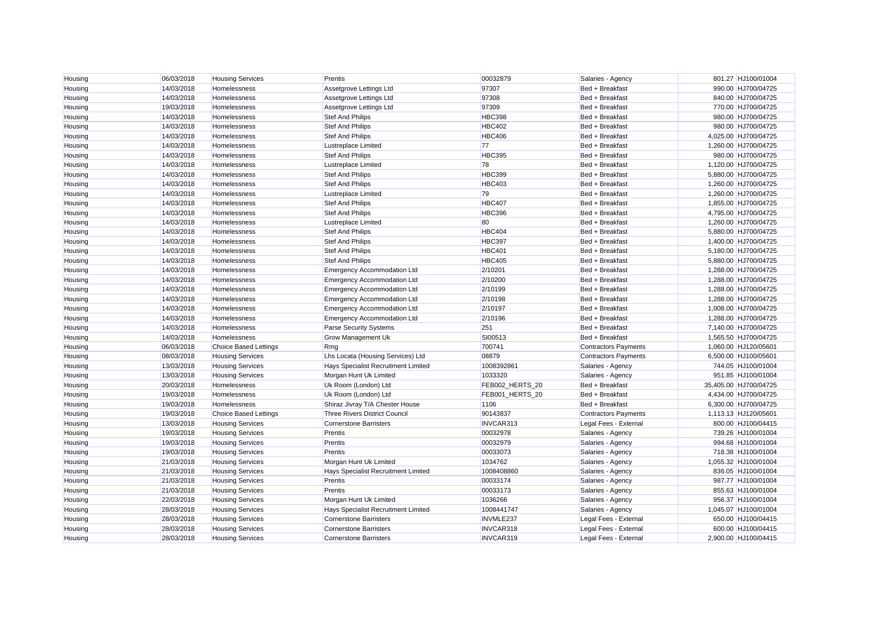| Housing | 06/03/2018 | <b>Housing Services</b>      | Prentis                              | 00032879        | Salaries - Agency           | 801.27 HJ100/01004    |
|---------|------------|------------------------------|--------------------------------------|-----------------|-----------------------------|-----------------------|
| Housing | 14/03/2018 | Homelessness                 | Assetgrove Lettings Ltd              | 97307           | Bed + Breakfast             | 990.00 HJ700/04725    |
| Housing | 14/03/2018 | Homelessness                 | Assetgrove Lettings Ltd              | 97308           | Bed + Breakfast             | 840.00 HJ700/04725    |
| Housing | 19/03/2018 | Homelessness                 | Assetgrove Lettings Ltd              | 97309           | Bed + Breakfast             | 770.00 HJ700/04725    |
| Housing | 14/03/2018 | Homelessness                 | Stef And Philips                     | <b>HBC398</b>   | Bed + Breakfast             | 980.00 HJ700/04725    |
| Housing | 14/03/2018 | Homelessness                 | <b>Stef And Philips</b>              | <b>HBC402</b>   | Bed + Breakfast             | 980.00 HJ700/04725    |
| Housing | 14/03/2018 | <b>Homelessness</b>          | <b>Stef And Philips</b>              | <b>HBC406</b>   | Bed + Breakfast             | 4,025.00 HJ700/04725  |
| Housing | 14/03/2018 | Homelessness                 | <b>Lustreplace Limited</b>           | 77              | Bed + Breakfast             | 1,260.00 HJ700/04725  |
| Housing | 14/03/2018 | Homelessness                 | <b>Stef And Philips</b>              | <b>HBC395</b>   | Bed + Breakfast             | 980.00 HJ700/04725    |
| Housing | 14/03/2018 | Homelessness                 | Lustreplace Limited                  | 78              | Bed + Breakfast             | 1,120.00 HJ700/04725  |
| Housing | 14/03/2018 | Homelessness                 | <b>Stef And Philips</b>              | <b>HBC399</b>   | Bed + Breakfast             | 5,880.00 HJ700/04725  |
| Housing | 14/03/2018 | Homelessness                 | Stef And Philips                     | <b>HBC403</b>   | Bed + Breakfast             | 1,260.00 HJ700/04725  |
| Housing | 14/03/2018 | Homelessness                 | Lustreplace Limited                  | 79              | Bed + Breakfast             | 1,260.00 HJ700/04725  |
| Housing | 14/03/2018 | Homelessness                 | <b>Stef And Philips</b>              | <b>HBC407</b>   | Bed + Breakfast             | 1,855.00 HJ700/04725  |
| Housing | 14/03/2018 | Homelessness                 | <b>Stef And Philips</b>              | <b>HBC396</b>   | Bed + Breakfast             | 4,795.00 HJ700/04725  |
| Housing | 14/03/2018 | Homelessness                 | <b>Lustreplace Limited</b>           | 80              | Bed + Breakfast             | 1,260.00 HJ700/04725  |
| Housing | 14/03/2018 | Homelessness                 | <b>Stef And Philips</b>              | <b>HBC404</b>   | Bed + Breakfast             | 5,880.00 HJ700/04725  |
| Housing | 14/03/2018 | Homelessness                 | <b>Stef And Philips</b>              | <b>HBC397</b>   | Bed + Breakfast             | 1,400.00 HJ700/04725  |
| Housing | 14/03/2018 | Homelessness                 | <b>Stef And Philips</b>              | <b>HBC401</b>   | Bed + Breakfast             | 5,180.00 HJ700/04725  |
| Housing | 14/03/2018 | Homelessness                 | <b>Stef And Philips</b>              | <b>HBC405</b>   | Bed + Breakfast             | 5,880.00 HJ700/04725  |
| Housing | 14/03/2018 | Homelessness                 | <b>Emergency Accommodation Ltd</b>   | 2/10201         | Bed + Breakfast             | 1,288.00 HJ700/04725  |
| Housing | 14/03/2018 | Homelessness                 | <b>Emergency Accommodation Ltd</b>   | 2/10200         | Bed + Breakfast             | 1,288.00 HJ700/04725  |
| Housing | 14/03/2018 | Homelessness                 | <b>Emergency Accommodation Ltd</b>   | 2/10199         | Bed + Breakfast             | 1,288.00 HJ700/04725  |
| Housing | 14/03/2018 | Homelessness                 | <b>Emergency Accommodation Ltd</b>   | 2/10198         | Bed + Breakfast             | 1,288.00 HJ700/04725  |
| Housing | 14/03/2018 | Homelessness                 | <b>Emergency Accommodation Ltd</b>   | 2/10197         | Bed + Breakfast             | 1,008.00 HJ700/04725  |
| Housing | 14/03/2018 | Homelessness                 | <b>Emergency Accommodation Ltd</b>   | 2/10196         | Bed + Breakfast             | 1,288.00 HJ700/04725  |
| Housing | 14/03/2018 | Homelessness                 | Parse Security Systems               | 251             | Bed + Breakfast             | 7,140.00 HJ700/04725  |
| Housing | 14/03/2018 | Homelessness                 | Grow Management Uk                   | SI00513         | Bed + Breakfast             | 1,565.50 HJ700/04725  |
| Housing | 06/03/2018 | <b>Choice Based Lettings</b> | Rmg                                  | 700741          | <b>Contractors Payments</b> | 1,060.00 HJ120/05601  |
| Housing | 08/03/2018 | <b>Housing Services</b>      | Lhs Locata (Housing Services) Ltd    | 08879           | <b>Contractors Payments</b> | 6,500.00 HJ100/05601  |
| Housing | 13/03/2018 | <b>Housing Services</b>      | Hays Specialist Recruitment Limited  | 1008392861      | Salaries - Agency           | 744.05 HJ100/01004    |
| Housing | 13/03/2018 | <b>Housing Services</b>      | Morgan Hunt Uk Limited               | 1033320         | Salaries - Agency           | 951.85 HJ100/01004    |
| Housing | 20/03/2018 | Homelessness                 | Uk Room (London) Ltd                 | FEB002 HERTS 20 | Bed + Breakfast             | 35,405.00 HJ700/04725 |
| Housing | 19/03/2018 | Homelessness                 | Uk Room (London) Ltd                 | FEB001 HERTS 20 | Bed + Breakfast             | 4,434.00 HJ700/04725  |
| Housing | 19/03/2018 | Homelessness                 | Shiraz Jivray T/A Chester House      | 1106            | Bed + Breakfast             | 6,300.00 HJ700/04725  |
| Housing | 19/03/2018 | <b>Choice Based Lettings</b> | <b>Three Rivers District Council</b> | 90143837        | <b>Contractors Payments</b> | 1,113.13 HJ120/05601  |
| Housing | 13/03/2018 | <b>Housing Services</b>      | <b>Cornerstone Barristers</b>        | INVCAR313       | Legal Fees - External       | 800.00 HJ100/04415    |
| Housing | 19/03/2018 | <b>Housing Services</b>      | Prentis                              | 00032978        | Salaries - Agency           | 739.26 HJ100/01004    |
| Housing | 19/03/2018 | <b>Housing Services</b>      | Prentis                              | 00032979        | Salaries - Agency           | 994.68 HJ100/01004    |
| Housing | 19/03/2018 | <b>Housing Services</b>      | Prentis                              | 00033073        | Salaries - Agency           | 718.38 HJ100/01004    |
| Housing | 21/03/2018 | <b>Housing Services</b>      | Morgan Hunt Uk Limited               | 1034762         | Salaries - Agency           | 1,055.32 HJ100/01004  |
| Housing | 21/03/2018 | <b>Housing Services</b>      | Hays Specialist Recruitment Limited  | 1008408860      | Salaries - Agency           | 836.05 HJ100/01004    |
| Housing | 21/03/2018 | <b>Housing Services</b>      | Prentis                              | 00033174        | Salaries - Agency           | 987.77 HJ100/01004    |
| Housing | 21/03/2018 | <b>Housing Services</b>      | Prentis                              | 00033173        | Salaries - Agency           | 855.63 HJ100/01004    |
| Housing | 22/03/2018 | <b>Housing Services</b>      | Morgan Hunt Uk Limited               | 1036266         | Salaries - Agency           | 956.37 HJ100/01004    |
| Housing | 28/03/2018 | <b>Housing Services</b>      | Hays Specialist Recruitment Limited  | 1008441747      | Salaries - Agency           | 1,045.07 HJ100/01004  |
| Housing | 28/03/2018 | <b>Housing Services</b>      | <b>Cornerstone Barristers</b>        | INVMLE237       | Legal Fees - External       | 650.00 HJ100/04415    |
| Housing | 28/03/2018 | <b>Housing Services</b>      | <b>Cornerstone Barristers</b>        | INVCAR318       | Legal Fees - External       | 600.00 HJ100/04415    |
|         |            |                              |                                      |                 |                             |                       |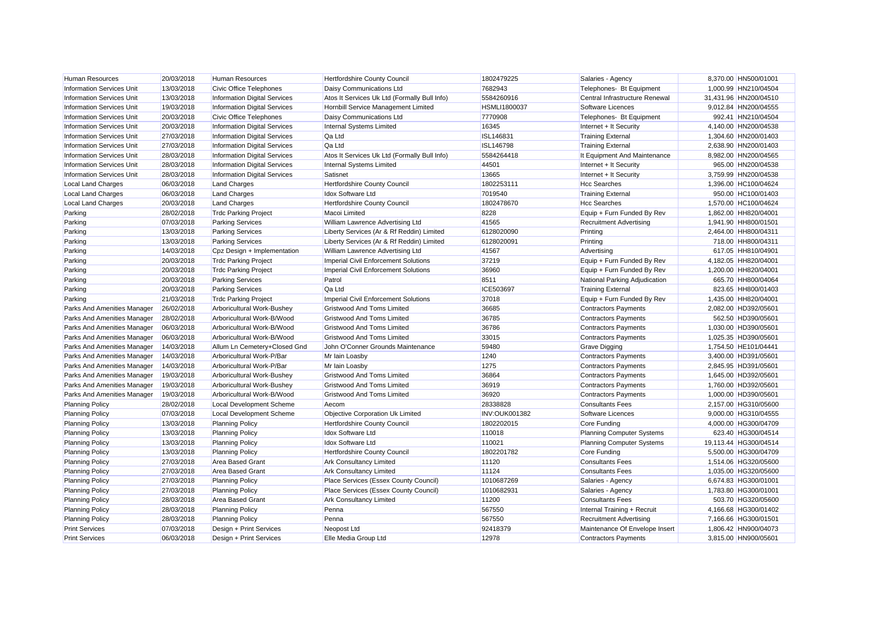| <b>Human Resources</b>             | 20/03/2018 | <b>Human Resources</b>              | Hertfordshire County Council                 | 1802479225           | Salaries - Agency                | 8,370.00 HN500/01001  |
|------------------------------------|------------|-------------------------------------|----------------------------------------------|----------------------|----------------------------------|-----------------------|
| <b>Information Services Unit</b>   | 13/03/2018 | <b>Civic Office Telephones</b>      | Daisy Communications Ltd                     | 7682943              | Telephones- Bt Equipment         | 1,000.99 HN210/04504  |
| <b>Information Services Unit</b>   | 13/03/2018 | <b>Information Digital Services</b> | Atos It Services Uk Ltd (Formally Bull Info) | 5584260916           | Central Infrastructure Renewal   | 31,431.96 HN200/04510 |
| <b>Information Services Unit</b>   | 19/03/2018 | <b>Information Digital Services</b> | Hornbill Service Management Limited          | <b>HSMLI1800037</b>  | Software Licences                | 9,012.84 HN200/04555  |
| <b>Information Services Unit</b>   | 20/03/2018 | <b>Civic Office Telephones</b>      | Daisy Communications Ltd                     | 7770908              | Telephones- Bt Equipment         | 992.41 HN210/04504    |
| <b>Information Services Unit</b>   | 20/03/2018 | <b>Information Digital Services</b> | Internal Systems Limited                     | 16345                | Internet + It Security           | 4,140.00 HN200/04538  |
| <b>Information Services Unit</b>   | 27/03/2018 | <b>Information Digital Services</b> | Qa Ltd                                       | ISL146831            | <b>Training External</b>         | 1,304.60 HN200/01403  |
| <b>Information Services Unit</b>   | 27/03/2018 | <b>Information Digital Services</b> | Qa Ltd                                       | ISL146798            | <b>Training External</b>         | 2.638.90 HN200/01403  |
| Information Services Unit          | 28/03/2018 | <b>Information Digital Services</b> | Atos It Services Uk Ltd (Formally Bull Info) | 5584264418           | It Equipment And Maintenance     | 8,982.00 HN200/04565  |
| <b>Information Services Unit</b>   | 28/03/2018 | <b>Information Digital Services</b> | Internal Systems Limited                     | 44501                | Internet + It Security           | 965.00 HN200/04538    |
| <b>Information Services Unit</b>   | 28/03/2018 | <b>Information Digital Services</b> | Satisnet                                     | 13665                | Internet + It Security           | 3,759.99 HN200/04538  |
| <b>Local Land Charges</b>          | 06/03/2018 | <b>Land Charges</b>                 | Hertfordshire County Council                 | 1802253111           | <b>Hcc Searches</b>              | 1,396.00 HC100/04624  |
| <b>Local Land Charges</b>          | 06/03/2018 | <b>Land Charges</b>                 | <b>Idox Software Ltd</b>                     | 7019540              | <b>Training External</b>         | 950.00 HC100/01403    |
| Local Land Charges                 | 20/03/2018 | <b>Land Charges</b>                 | Hertfordshire County Council                 | 1802478670           | <b>Hcc Searches</b>              | 1,570.00 HC100/04624  |
| Parking                            | 28/02/2018 | <b>Trdc Parking Project</b>         | Macoi Limited                                | 8228                 | Equip + Furn Funded By Rev       | 1,862.00 HH820/04001  |
| Parking                            | 07/03/2018 | <b>Parking Services</b>             | William Lawrence Advertising Ltd             | 41565                | <b>Recruitment Advertising</b>   | 1.941.90 HH800/01501  |
| Parking                            | 13/03/2018 | <b>Parking Services</b>             | Liberty Services (Ar & Rf Reddin) Limited    | 6128020090           | Printing                         | 2,464.00 HH800/04311  |
| Parking                            | 13/03/2018 | <b>Parking Services</b>             | Liberty Services (Ar & Rf Reddin) Limited    | 6128020091           | Printing                         | 718.00 HH800/04311    |
| Parking                            | 14/03/2018 | Cpz Design + Implementation         | William Lawrence Advertising Ltd             | 41567                | Advertising                      | 617.05 HH810/04901    |
| Parking                            | 20/03/2018 | <b>Trdc Parking Project</b>         | <b>Imperial Civil Enforcement Solutions</b>  | 37219                | Equip + Furn Funded By Rev       | 4,182.05 HH820/04001  |
| Parking                            | 20/03/2018 | <b>Trdc Parking Project</b>         | Imperial Civil Enforcement Solutions         | 36960                | Equip + Furn Funded By Rev       | 1,200.00 HH820/04001  |
| Parking                            | 20/03/2018 | <b>Parking Services</b>             | Patrol                                       | 8511                 | National Parking Adjudication    | 665.70 HH800/04064    |
| Parking                            | 20/03/2018 | <b>Parking Services</b>             | Qa Ltd                                       | ICE503697            | <b>Training External</b>         | 823.65 HH800/01403    |
| Parking                            | 21/03/2018 | <b>Trdc Parking Project</b>         | <b>Imperial Civil Enforcement Solutions</b>  | 37018                | Equip + Furn Funded By Rev       | 1.435.00 HH820/04001  |
| Parks And Amenities Manager        | 26/02/2018 | Arboricultural Work-Bushey          | <b>Gristwood And Toms Limited</b>            | 36685                | <b>Contractors Payments</b>      | 2,082.00 HD392/05601  |
| <b>Parks And Amenities Manager</b> | 28/02/2018 | Arboricultural Work-B/Wood          | <b>Gristwood And Toms Limited</b>            | 36785                | <b>Contractors Payments</b>      | 562.50 HD390/05601    |
| Parks And Amenities Manager        | 06/03/2018 | Arboricultural Work-B/Wood          | <b>Gristwood And Toms Limited</b>            | 36786                | <b>Contractors Payments</b>      | 1,030.00 HD390/05601  |
| Parks And Amenities Manager        | 06/03/2018 | Arboricultural Work-B/Wood          | <b>Gristwood And Toms Limited</b>            | 33015                | <b>Contractors Payments</b>      | 1,025.35 HD390/05601  |
| Parks And Amenities Manager        | 14/03/2018 | Allum Ln Cemetery+Closed Gnd        | John O'Conner Grounds Maintenance            | 59480                | <b>Grave Digging</b>             | 1,754.50 HE101/04441  |
| Parks And Amenities Manager        | 14/03/2018 | Arboricultural Work-P/Bar           | Mr Iain Loasby                               | 1240                 | <b>Contractors Payments</b>      | 3,400.00 HD391/05601  |
| Parks And Amenities Manager        | 14/03/2018 | Arboricultural Work-P/Bar           | Mr Iain Loasby                               | 1275                 | <b>Contractors Payments</b>      | 2,845.95 HD391/05601  |
| Parks And Amenities Manager        | 19/03/2018 | Arboricultural Work-Bushey          | <b>Gristwood And Toms Limited</b>            | 36864                | <b>Contractors Payments</b>      | 1,645.00 HD392/05601  |
| Parks And Amenities Manager        | 19/03/2018 | Arboricultural Work-Bushey          | <b>Gristwood And Toms Limited</b>            | 36919                | <b>Contractors Payments</b>      | 1,760.00 HD392/05601  |
| Parks And Amenities Manager        | 19/03/2018 | Arboricultural Work-B/Wood          | <b>Gristwood And Toms Limited</b>            | 36920                | <b>Contractors Payments</b>      | 1,000.00 HD390/05601  |
| <b>Planning Policy</b>             | 28/02/2018 | <b>Local Development Scheme</b>     | Aecom                                        | 28338828             | <b>Consultants Fees</b>          | 2,157.00 HG310/05600  |
| <b>Planning Policy</b>             | 07/03/2018 | <b>Local Development Scheme</b>     | Objective Corporation Uk Limited             | <b>INV:OUK001382</b> | Software Licences                | 9,000.00 HG310/04555  |
| <b>Planning Policy</b>             | 13/03/2018 | <b>Planning Policy</b>              | Hertfordshire County Council                 | 1802202015           | Core Funding                     | 4,000.00 HG300/04709  |
| <b>Planning Policy</b>             | 13/03/2018 | <b>Planning Policy</b>              | <b>Idox Software Ltd</b>                     | 110018               | <b>Planning Computer Systems</b> | 623.40 HG300/04514    |
| <b>Planning Policy</b>             | 13/03/2018 | <b>Planning Policy</b>              | <b>Idox Software Ltd</b>                     | 110021               | <b>Planning Computer Systems</b> | 19,113.44 HG300/04514 |
| <b>Planning Policy</b>             | 13/03/2018 | <b>Planning Policy</b>              | Hertfordshire County Council                 | 1802201782           | <b>Core Funding</b>              | 5,500.00 HG300/04709  |
| <b>Planning Policy</b>             | 27/03/2018 | <b>Area Based Grant</b>             | <b>Ark Consultancy Limited</b>               | 11120                | <b>Consultants Fees</b>          | 1,514.06 HG320/05600  |
| <b>Planning Policy</b>             | 27/03/2018 | <b>Area Based Grant</b>             | <b>Ark Consultancy Limited</b>               | 11124                | <b>Consultants Fees</b>          | 1,035.00 HG320/05600  |
| <b>Planning Policy</b>             | 27/03/2018 | <b>Planning Policy</b>              | Place Services (Essex County Council)        | 1010687269           | Salaries - Agency                | 6,674.83 HG300/01001  |
| <b>Planning Policy</b>             | 27/03/2018 | <b>Planning Policy</b>              | Place Services (Essex County Council)        | 1010682931           | Salaries - Agency                | 1,783.80 HG300/01001  |
| <b>Planning Policy</b>             | 28/03/2018 | <b>Area Based Grant</b>             | <b>Ark Consultancy Limited</b>               | 11200                | <b>Consultants Fees</b>          | 503.70 HG320/05600    |
| <b>Planning Policy</b>             | 28/03/2018 | <b>Planning Policy</b>              | Penna                                        | 567550               | Internal Training + Recruit      | 4,166.68 HG300/01402  |
| <b>Planning Policy</b>             | 28/03/2018 | <b>Planning Policy</b>              | Penna                                        | 567550               | <b>Recruitment Advertising</b>   | 7,166.66 HG300/01501  |
| <b>Print Services</b>              | 07/03/2018 | Design + Print Services             | Neopost Ltd                                  | 92418379             | Maintenance Of Envelope Insert   | 1,806.42 HN900/04073  |
| <b>Print Services</b>              | 06/03/2018 | Design + Print Services             | Elle Media Group Ltd                         | 12978                | <b>Contractors Payments</b>      | 3.815.00 HN900/05601  |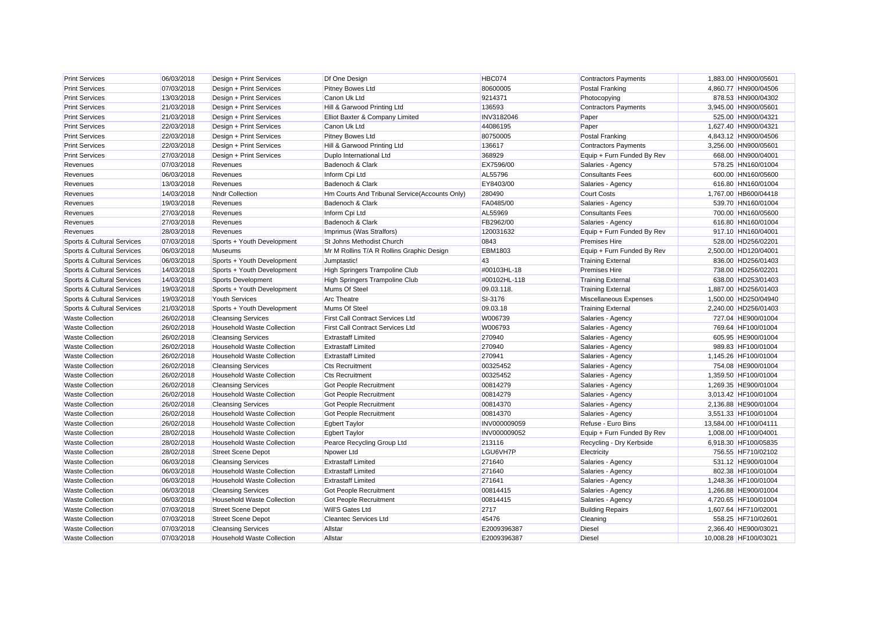| <b>Print Services</b>      | 06/03/2018 | Design + Print Services           | Df One Design                                  | HBC074       | <b>Contractors Payments</b> | 1,883.00 HN900/05601  |  |
|----------------------------|------------|-----------------------------------|------------------------------------------------|--------------|-----------------------------|-----------------------|--|
| <b>Print Services</b>      | 07/03/2018 | Design + Print Services           | <b>Pitney Bowes Ltd</b>                        | 80600005     | <b>Postal Franking</b>      | 4,860.77 HN900/04506  |  |
| <b>Print Services</b>      | 13/03/2018 | Design + Print Services           | Canon Uk Ltd                                   | 9214371      | Photocopying                | 878.53 HN900/04302    |  |
| <b>Print Services</b>      | 21/03/2018 | Design + Print Services           | Hill & Garwood Printing Ltd                    | 136593       | <b>Contractors Payments</b> | 3,945.00 HN900/05601  |  |
| <b>Print Services</b>      | 21/03/2018 | Design + Print Services           | Elliot Baxter & Company Limited                | INV3182046   | Paper                       | 525.00 HN900/04321    |  |
| <b>Print Services</b>      | 22/03/2018 | Design + Print Services           | Canon Uk Ltd                                   | 44086195     | Paper                       | 1,627.40 HN900/04321  |  |
| <b>Print Services</b>      | 22/03/2018 | Design + Print Services           | Pitney Bowes Ltd                               | 80750005     | Postal Franking             | 4,843.12 HN900/04506  |  |
| <b>Print Services</b>      | 22/03/2018 | Design + Print Services           | Hill & Garwood Printing Ltd                    | 136617       | <b>Contractors Payments</b> | 3,256.00 HN900/05601  |  |
| <b>Print Services</b>      | 27/03/2018 | Design + Print Services           | Duplo International Ltd                        | 368929       | Equip + Furn Funded By Rev  | 668.00 HN900/04001    |  |
| Revenues                   | 07/03/2018 | Revenues                          | Badenoch & Clark                               | EX7596/00    | Salaries - Agency           | 578.25 HN160/01004    |  |
| Revenues                   | 06/03/2018 | Revenues                          | Inform Cpi Ltd                                 | AL55796      | <b>Consultants Fees</b>     | 600.00 HN160/05600    |  |
| Revenues                   | 13/03/2018 | Revenues                          | Badenoch & Clark                               | EY8403/00    | Salaries - Agency           | 616.80 HN160/01004    |  |
| Revenues                   | 14/03/2018 | <b>Nndr Collection</b>            | Hm Courts And Tribunal Service (Accounts Only) | 280490       | <b>Court Costs</b>          | 1,767.00 HB600/04418  |  |
| Revenues                   | 19/03/2018 | Revenues                          | Badenoch & Clark                               | FA0485/00    | Salaries - Agency           | 539.70 HN160/01004    |  |
| Revenues                   | 27/03/2018 | Revenues                          | Inform Cpi Ltd                                 | AL55969      | <b>Consultants Fees</b>     | 700.00 HN160/05600    |  |
| Revenues                   | 27/03/2018 | Revenues                          | Badenoch & Clark                               | FB2962/00    | Salaries - Agency           | 616.80 HN160/01004    |  |
| Revenues                   | 28/03/2018 | Revenues                          | Imprimus (Was Stralfors)                       | 120031632    | Equip + Furn Funded By Rev  | 917.10 HN160/04001    |  |
| Sports & Cultural Services | 07/03/2018 | Sports + Youth Development        | St Johns Methodist Church                      | 0843         | <b>Premises Hire</b>        | 528.00 HD256/02201    |  |
| Sports & Cultural Services | 06/03/2018 | <b>Museums</b>                    | Mr M Rollins T/A R Rollins Graphic Design      | EBM1803      | Equip + Furn Funded By Rev  | 2,500.00 HD120/04001  |  |
| Sports & Cultural Services | 06/03/2018 | Sports + Youth Development        | Jumptastic!                                    | 43           | <b>Training External</b>    | 836.00 HD256/01403    |  |
| Sports & Cultural Services | 14/03/2018 | Sports + Youth Development        | <b>High Springers Trampoline Club</b>          | #00103HL-18  | <b>Premises Hire</b>        | 738.00 HD256/02201    |  |
| Sports & Cultural Services | 14/03/2018 | <b>Sports Development</b>         | High Springers Trampoline Club                 | #00102HL-118 | <b>Training External</b>    | 638.00 HD253/01403    |  |
| Sports & Cultural Services | 19/03/2018 | Sports + Youth Development        | Mums Of Steel                                  | 09.03.118.   | <b>Training External</b>    | 1,887.00 HD256/01403  |  |
| Sports & Cultural Services | 19/03/2018 | <b>Youth Services</b>             | <b>Arc Theatre</b>                             | SI-3176      | Miscellaneous Expenses      | 1,500.00 HD250/04940  |  |
| Sports & Cultural Services | 21/03/2018 | Sports + Youth Development        | Mums Of Steel                                  | 09.03.18     | <b>Training External</b>    | 2,240.00 HD256/01403  |  |
| <b>Waste Collection</b>    | 26/02/2018 | <b>Cleansing Services</b>         | <b>First Call Contract Services Ltd</b>        | W006739      | Salaries - Agency           | 727.04 HE900/01004    |  |
| <b>Waste Collection</b>    | 26/02/2018 | <b>Household Waste Collection</b> | First Call Contract Services Ltd               | W006793      | Salaries - Agency           | 769.64 HF100/01004    |  |
| <b>Waste Collection</b>    | 26/02/2018 | <b>Cleansing Services</b>         | <b>Extrastaff Limited</b>                      | 270940       | Salaries - Agency           | 605.95 HE900/01004    |  |
| <b>Waste Collection</b>    | 26/02/2018 | <b>Household Waste Collection</b> | <b>Extrastaff Limited</b>                      | 270940       | Salaries - Agency           | 989.83 HF100/01004    |  |
| <b>Waste Collection</b>    | 26/02/2018 | <b>Household Waste Collection</b> | <b>Extrastaff Limited</b>                      | 270941       | Salaries - Agency           | 1,145.26 HF100/01004  |  |
| <b>Waste Collection</b>    | 26/02/2018 | <b>Cleansing Services</b>         | <b>Cts Recruitment</b>                         | 00325452     | Salaries - Agency           | 754.08 HE900/01004    |  |
| <b>Waste Collection</b>    | 26/02/2018 | <b>Household Waste Collection</b> | <b>Cts Recruitment</b>                         | 00325452     | Salaries - Agency           | 1,359.50 HF100/01004  |  |
| <b>Waste Collection</b>    | 26/02/2018 | <b>Cleansing Services</b>         | Got People Recruitment                         | 00814279     | Salaries - Agency           | 1,269.35 HE900/01004  |  |
| <b>Waste Collection</b>    | 26/02/2018 | <b>Household Waste Collection</b> | Got People Recruitment                         | 00814279     | Salaries - Agency           | 3,013.42 HF100/01004  |  |
| <b>Waste Collection</b>    | 26/02/2018 | <b>Cleansing Services</b>         | Got People Recruitment                         | 00814370     | Salaries - Agency           | 2.136.88 HE900/01004  |  |
| <b>Waste Collection</b>    | 26/02/2018 | Household Waste Collection        | Got People Recruitment                         | 00814370     | Salaries - Agency           | 3,551.33 HF100/01004  |  |
| <b>Waste Collection</b>    | 26/02/2018 | <b>Household Waste Collection</b> | <b>Egbert Taylor</b>                           | INV000009059 | Refuse - Euro Bins          | 13,584.00 HF100/04111 |  |
| <b>Waste Collection</b>    | 28/02/2018 | <b>Household Waste Collection</b> | <b>Egbert Taylor</b>                           | INV000009052 | Equip + Furn Funded By Rev  | 1,008.00 HF100/04001  |  |
| <b>Waste Collection</b>    | 28/02/2018 | <b>Household Waste Collection</b> | Pearce Recycling Group Ltd                     | 213116       | Recycling - Dry Kerbside    | 6,918.30 HF100/05835  |  |
| <b>Waste Collection</b>    | 28/02/2018 | <b>Street Scene Depot</b>         | Npower Ltd                                     | LGU6VH7P     | Electricity                 | 756.55 HF710/02102    |  |
| <b>Waste Collection</b>    | 06/03/2018 | <b>Cleansing Services</b>         | <b>Extrastaff Limited</b>                      | 271640       | Salaries - Agency           | 531.12 HE900/01004    |  |
| <b>Waste Collection</b>    | 06/03/2018 | <b>Household Waste Collection</b> | <b>Extrastaff Limited</b>                      | 271640       | Salaries - Agency           | 802.38 HF100/01004    |  |
| <b>Waste Collection</b>    | 06/03/2018 | <b>Household Waste Collection</b> | <b>Extrastaff Limited</b>                      | 271641       | Salaries - Agency           | 1,248.36 HF100/01004  |  |
| <b>Waste Collection</b>    | 06/03/2018 | <b>Cleansing Services</b>         | <b>Got People Recruitment</b>                  | 00814415     | Salaries - Agency           | 1,266.88 HE900/01004  |  |
| <b>Waste Collection</b>    | 06/03/2018 | <b>Household Waste Collection</b> | <b>Got People Recruitment</b>                  | 00814415     | Salaries - Agency           | 4,720.65 HF100/01004  |  |
| <b>Waste Collection</b>    | 07/03/2018 | <b>Street Scene Depot</b>         | <b>Will'S Gates Ltd</b>                        | 2717         | <b>Building Repairs</b>     | 1,607.64 HF710/02001  |  |
| <b>Waste Collection</b>    | 07/03/2018 | <b>Street Scene Depot</b>         | <b>Cleantec Services Ltd</b>                   | 45476        | Cleaning                    | 558.25 HF710/02601    |  |
| <b>Waste Collection</b>    | 07/03/2018 | <b>Cleansing Services</b>         | Allstar                                        | E2009396387  | <b>Diesel</b>               | 2,366.40 HE900/03021  |  |
| <b>Waste Collection</b>    | 07/03/2018 | <b>Household Waste Collection</b> | Allstar                                        | E2009396387  | <b>Diesel</b>               | 10,008.28 HF100/03021 |  |